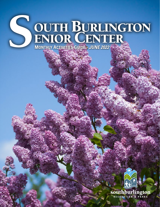# **SOUTH BURLINGTON**<br>ENIOR CENTER

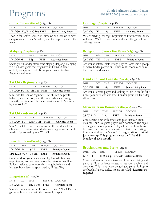## Programs

#### Coffee Corner (Drop-In)*- Age 55+*

| DATE                          | DAY TIME |  | FEE R/NR LOCATION         |
|-------------------------------|----------|--|---------------------------|
| 1/4-12/30 TU, F 8:30-10a FREE |          |  | <b>Senior Living Room</b> |

Drop in for Coffee Corner on Tuesdays and Fridays to have a cup of coffee or tea. Socialize, read the paper or watch the news.

#### Mahjong (Drop-In)*- Age 55+*

| <b>DATE</b>   | DAY. | TIME   |             | FEE R/NR LOCATION      |
|---------------|------|--------|-------------|------------------------|
| $1/3-12/26$ M |      | $1-3p$ | <b>FREE</b> | <b>Activities Room</b> |

Spend your Monday afternoons playing Mahjong. Mahjong is a tile based game that originated in China. A game of skill, strategy and luck. Bring your own set to share. Beginners welcome.

#### Tai Chi - Beginners *- Age 60+*

| DATE                              | DAY DAY | TIME | FEE R/NR LOCATION      |
|-----------------------------------|---------|------|------------------------|
| $1/4-12/29$ TU, TH $11a-12p$ FREE |         |      | <b>Activities Room</b> |

Sun Style Tai Chi for Beginners - Tai chi can help with balance, relax the body and the mind while increasing strength and stamina. Class meets twice a week. Sponsored by Age Well VT.

#### Tai Chi - Advanced *- Age 60+*

| DATE | DAY TIME                            | FEE R/NR LOCATION      |
|------|-------------------------------------|------------------------|
|      | $1/4 - 12/29$ TU $12:15-1:15p$ FREE | <b>Activities Room</b> |

Sun 73 Tai Chi - Learn new moves in this next level Tai Chi class. Experience/knowledge with beginning Sun style needed. Sponsored by Age Well VT.

#### Bone Builders (Drop-In)*- Age 55+*

| DATE                            | <b>DAY</b> | TIME. |             | FEE R/NR LOCATION      |
|---------------------------------|------------|-------|-------------|------------------------|
| $1/3 - 12/26$ M                 |            | 9-10a | <b>FREE</b> | <b>Activities Room</b> |
| $11/5-12/28$ W, F $10-11a$ FREE |            |       |             | <b>Activities Room</b> |
|                                 |            |       |             |                        |

Come work on your balance and light weight training to protect against fractures caused by osteoporosis. Bone Builders helps to gain muscular strength, balance and increase bone density. Sponsored by United Way.

#### Bingo (Drop-In)*- Age 55+*

| $1/5 - 12/28$ W |     | $1:30-3:30p$ FREE | Activities Room   |
|-----------------|-----|-------------------|-------------------|
| DATE            | DAY | – TIME -          | FEE R/NR LOCATION |
|                 |     |                   |                   |

Stay after lunch for a couple hours of dime BINGO. Play 12 games of BINGO and win the Coverall Jackpot.

#### Cribbage (Drop-in)*- Age 55+*

| <b>DATF</b>  | DAY - | TIME   |      | FEE R/NR LOCATION      |
|--------------|-------|--------|------|------------------------|
| 1/4-12/27 TU |       | $1-3p$ | FREE | <b>Activities Room</b> |
|              |       |        |      |                        |

We are playing Cribbage. Beginners or Intermediate, all are welcome. Want to learn, come and learn the game from cribbage lovers.

#### Bridge Club (Intermediate Players Only)*- Age 55+*

| $1/6-12/29$ TH $1-3p$ |      |                  | FREE | <b>Activities Room</b> |  |
|-----------------------|------|------------------|------|------------------------|--|
| DATE                  | DAY. | TIME <b>TIME</b> |      | FEE R/NR LOCATION      |  |

Are you an intermediate Bridge player? Come join a group of active bridge players on Thursday afternoons and play the king of card games.

#### Hand and Foot Canasta (Drop-in) *- Age 55+*

| $2/3-12/29$ TH $1-3p$ |          | <b>FREE</b> Senior Living Room |
|-----------------------|----------|--------------------------------|
| DATE                  | DAY TIME | FEE R/NR LOCATION              |

Are you a Canasta player and looking to join in on the fun? Come join our Hand and Foot Canasta group on Thursday afternoons.

#### Mexican Train Dominoes (Drop-in) *- Age 55+*

| $5/9 - 7/25$ M |      | $1-3p$ | <b>FRFF</b> | Activities Room   |  |
|----------------|------|--------|-------------|-------------------|--|
| DATE           | 1)AY | TIME   |             | FEE R/NR LOCATION |  |

Come spend time with others and play Mexican Train. Mexican Train is a game played with dominoes The object of the game is for a player to play all the tiles from his or her hand onto one or more chains, or trains, emanating from a central hub or "station". **No registration required just show up. This program meets the 2nd and 4th Monday of each month.**

#### Brushstrokes and Brews *- Age 55+*

| 6/17          | - F |  | 1:30-3:30p \$15/\$20 Activities Room |  |
|---------------|-----|--|--------------------------------------|--|
| DATE DAY TIME |     |  | FEE R/NR LOCATION                    |  |

Come and join us for an afternoon of fun, socializing and painting. No experience necessary, just your laughter and creativity. This month were are going to paint flip flops on the beach. Snacks, coffee, tea are provided. *Registration required.*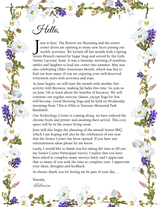Hello,

J une is here. The flowers are blooming and the senior center doors are opening to many new faces joining our weekly activities. We kicked off last month with a Spring Senior Brunch catered by Sugar Snap and served by the Girls Varsity Lacrosse Team. It was a Saturday morning of sunshine, smiles and laughter to lead our center into summer. May was also celebrating Older Americans Month, which was fun to find out how many of you are enjoying your well-deserved retirement years with activities and trips.

As June begins, we will start the month with another fun activity with Beeswax, making lip balm this time. So, join us on June 7th to learn about the benefits of beeswax. We will continue our regular exercise classes, except Yoga for You will become, Good Morning Yoga and be held on Wednesday mornings from 730a to 830a at Veterans Memorial Park Bandshell.

Our Technology Corner is coming along, we have ordered the chrome book and printer and awaiting their arrival. This cozy space will be in the senior living room.

June will also begin the planning of the annual Senior BBQ which I am hoping will also be the celebration of one year that the Senior Center has been opened. If you have any entertainment ideas please let me know.

Lastly, I would like to thank you for taking the time to fill out my Senior Center Participant Survey. I realize that you have been asked to complete many surveys lately and I appreciate that so many of you took the time to complete ours. I appreciate your ideas, thoughts and feedback.

As always thank you for letting me be part of your day….

Warmly, Rebecca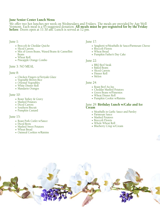#### June Senior Center Lunch Menu

We offer two hot lunches per week on Wednesdays and Fridays. The meals are provided by Age Well Vermont. Each meal is a \$5 suggested donation. **All meals múst be pre-registered for by the Friday**<br>**before**. Doors open at 11:30 am. Lunch is served at 12 pm.

#### June 1:

- Broccoli & Cheddar Quiche
- Sliced Carrots
- Mix of Green Beans, Waxed Beans & Cannellini Beans
- Wheat Roll
- Pineapple Orange Combo

#### June 3: NO MEAL

#### June 8:

- Chicken Fingers w/Teriyaki Glaze
- Vegetable Brown Rice
- Oriental Vegetables
- White Dinner Roll
- Mandarin Oranges

#### June 10:

- Roast Turkey & Gravy
- Mashed Potatoes
- Diced Carrots
- Southern Biscuit
- Pumpkin Custard

#### June 15:

- Roast Pork Cutlet w/Sauce
- Diced Beets
- Mashed Sweet Potatoes
- Wheat Bread
- Oatmeal Cookies w/Raisins

#### June 17:

- Spaghetti w/Meatballs & Sauce/Parmesan Cheese
- Broccoli Florets
- Wheat Bread
- Pumpkin Father's Day Cake

#### June 22:

- BBQ Beef Steak
- Baked Beans
- Sliced Carrots
- Dinner Roll
- Melon

#### June 24:

- Roast Beef Au Jus
- Cheddar Mashed Potatoes
- Green Beans w/Pimentos
- Wheat Dinner Roll
- Pumpkin Cookie w/Raisins

### June 29: **Birthday Lunch w/Cake and Ice**<br>**Cream**

- Meatballs in Garlic Sauce and Parsley
- Parmesan Sauce
- Mashed Potatoes
- Broccoli Florets
- Whole Wheat Roll
- Blueberry Crisp w/Cream

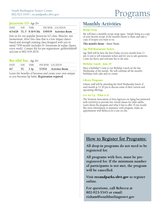#### Jazzercise LO *- Age 55+*

|      |          |  | 6/3-6/28 TU, F 8:30-9:30a \$59/\$59 Activities Room |  |
|------|----------|--|-----------------------------------------------------|--|
| DATE | DAY TIME |  | FEE R/NR LOCATION                                   |  |

Join us for our popular Jazzercise LO class. Muscles, not momentum, drive this class that is a low impact dancebased and strength training class designed with you in mind.\*\$59 month (includes 9+ livestream & replay classes every week). Contact Kit for pre-registration: getfitwithkit@ aol.com or 802-434-2676.

#### Bee-tiful You *- Age 55+*

| 6/7  | $TU$ 1-3 $p$ |             | \$7/\$10 Activities Room |
|------|--------------|-------------|--------------------------|
| DATF | DAY 2        | <b>TIME</b> | FEE R/NR LOCATION        |

Learn the benefits of beeswax and create your own unique to you beeswax lip balm. *Registration required.*

#### Monthly Activities

#### Recipe Swap

We will have a monthly recipe swap space. Simply bring in a copy of your favorite recipe of the month's theme to share and take a copy of recipes you want to try.

**This month's theme** - Sweet Treats

#### Age Well Restaurant Tickets

Age Well will be here the first Friday of every month from 11 am-12 pm to sell restaurant tickets and for you to ask questions. Come see Kerry and welcome her to the area.

#### Birthday Lunch - June 29

Have a birthday? Come to our Birthday Lunch on the last Wednesday of the month. We will celebrate all the month's birthdays with cake and ice cream.

#### Library Programs

Library staff will be attending the third Wednesday lunch of each month at 12:30 pm to discuss some of their current and upcoming offerings.

#### Get Set Up - What is it?

The Vermont Association of Area Agencies on Aging has partnered with GetSetUp to provide free virtual classes for older adults. Learn about the program and what it has to offer. If you would like more information or assistance with program, make an appointment with Rebecca for a one on one.

#### **How to Register for Programs:**

**All drop-in programs do not need to be registered for.**

**All programs with fees, must be preregistered for. If the minimum number of participants is not met, the program will be cancelled.**

**Visit** recandparks.sbvt.gov **to register online.**

**For questions, call Rebecca at 802-923-5545 or email: risham@southburlingtonvt.gov**